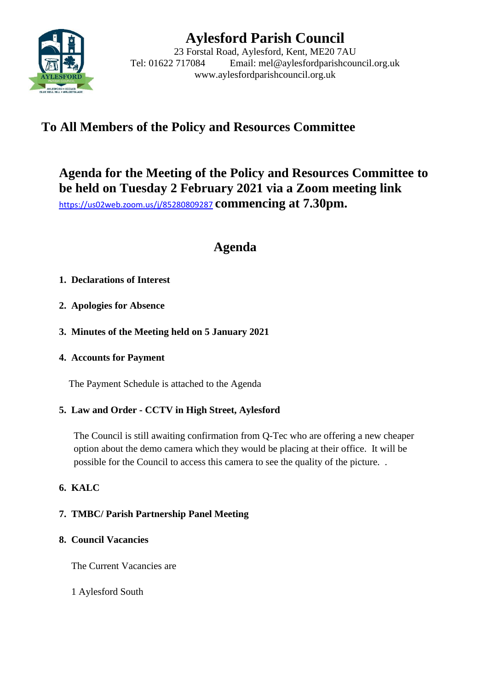

# **Aylesford Parish Council**

23 Forstal Road, Aylesford, Kent, ME20 7AU Tel: 01622 717084 Email: mel@aylesfordparishcouncil.org.uk www.aylesfordparishcouncil.org.uk

## **To All Members of the Policy and Resources Committee**

## **Agenda for the Meeting of the Policy and Resources Committee to be held on Tuesday 2 February 2021 via a Zoom meeting link** <https://us02web.zoom.us/j/85280809287> **commencing at 7.30pm.**

## **Agenda**

## **1. Declarations of Interest**

- **2. Apologies for Absence**
- **3. Minutes of the Meeting held on 5 January 2021**
- **4. Accounts for Payment**

The Payment Schedule is attached to the Agenda

## **5. Law and Order - CCTV in High Street, Aylesford**

The Council is still awaiting confirmation from Q-Tec who are offering a new cheaper option about the demo camera which they would be placing at their office. It will be possible for the Council to access this camera to see the quality of the picture. .

## **6. KALC**

## **7. TMBC/ Parish Partnership Panel Meeting**

## **8. Council Vacancies**

The Current Vacancies are

## 1 Aylesford South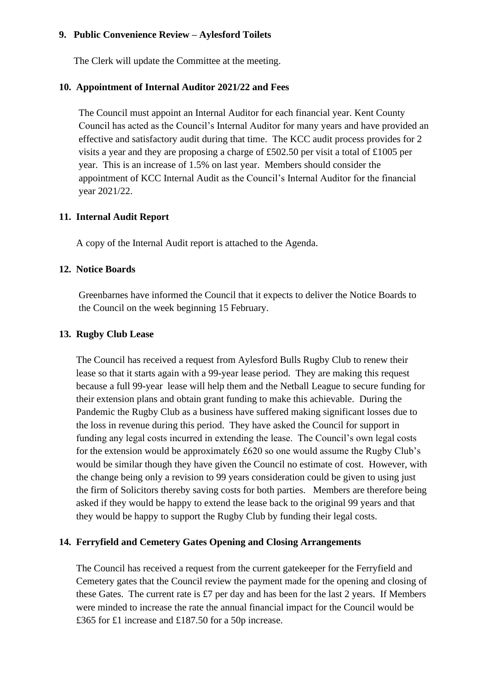#### **9. Public Convenience Review – Aylesford Toilets**

The Clerk will update the Committee at the meeting.

#### **10. Appointment of Internal Auditor 2021/22 and Fees**

The Council must appoint an Internal Auditor for each financial year. Kent County Council has acted as the Council's Internal Auditor for many years and have provided an effective and satisfactory audit during that time. The KCC audit process provides for 2 visits a year and they are proposing a charge of £502.50 per visit a total of £1005 per year. This is an increase of 1.5% on last year. Members should consider the appointment of KCC Internal Audit as the Council's Internal Auditor for the financial year 2021/22.

#### **11. Internal Audit Report**

A copy of the Internal Audit report is attached to the Agenda.

#### **12. Notice Boards**

Greenbarnes have informed the Council that it expects to deliver the Notice Boards to the Council on the week beginning 15 February.

#### **13. Rugby Club Lease**

The Council has received a request from Aylesford Bulls Rugby Club to renew their lease so that it starts again with a 99-year lease period. They are making this request because a full 99-year lease will help them and the Netball League to secure funding for their extension plans and obtain grant funding to make this achievable. During the Pandemic the Rugby Club as a business have suffered making significant losses due to the loss in revenue during this period. They have asked the Council for support in funding any legal costs incurred in extending the lease. The Council's own legal costs for the extension would be approximately £620 so one would assume the Rugby Club's would be similar though they have given the Council no estimate of cost. However, with the change being only a revision to 99 years consideration could be given to using just the firm of Solicitors thereby saving costs for both parties. Members are therefore being asked if they would be happy to extend the lease back to the original 99 years and that they would be happy to support the Rugby Club by funding their legal costs.

#### **14. Ferryfield and Cemetery Gates Opening and Closing Arrangements**

The Council has received a request from the current gatekeeper for the Ferryfield and Cemetery gates that the Council review the payment made for the opening and closing of these Gates. The current rate is  $£7$  per day and has been for the last 2 years. If Members were minded to increase the rate the annual financial impact for the Council would be £365 for £1 increase and £187.50 for a 50p increase.